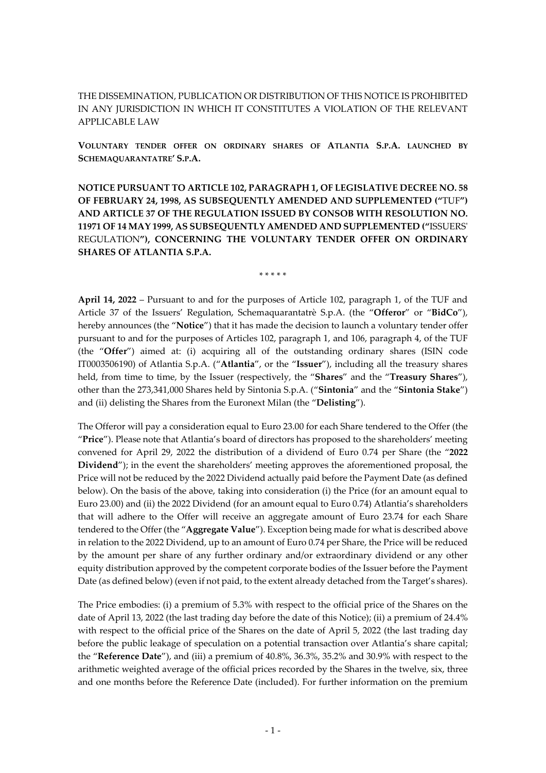THE DISSEMINATION, PUBLICATION OR DISTRIBUTION OF THIS NOTICE IS PROHIBITED IN ANY JURISDICTION IN WHICH IT CONSTITUTES A VIOLATION OF THE RELEVANT APPLICABLE LAW

**VOLUNTARY TENDER OFFER ON ORDINARY SHARES OF ATLANTIA S.P.A. LAUNCHED BY SCHEMAQUARANTATRE' S.P.A.**

**NOTICE PURSUANT TO ARTICLE 102, PARAGRAPH 1, OF LEGISLATIVE DECREE NO. 58 OF FEBRUARY 24, 1998, AS SUBSEQUENTLY AMENDED AND SUPPLEMENTED ("**TUF**") AND ARTICLE 37 OF THE REGULATION ISSUED BY CONSOB WITH RESOLUTION NO. 11971 OF 14 MAY 1999, AS SUBSEQUENTLY AMENDED AND SUPPLEMENTED ("**ISSUERS' REGULATION**"), CONCERNING THE VOLUNTARY TENDER OFFER ON ORDINARY SHARES OF ATLANTIA S.P.A.**

\* \* \* \* \*

**April 14, 2022** – Pursuant to and for the purposes of Article 102, paragraph 1, of the TUF and Article 37 of the Issuers' Regulation, Schemaquarantatrè S.p.A. (the "**Offeror**" or "**BidCo**"), hereby announces (the "**Notice**") that it has made the decision to launch a voluntary tender offer pursuant to and for the purposes of Articles 102, paragraph 1, and 106, paragraph 4, of the TUF (the "**Offer**") aimed at: (i) acquiring all of the outstanding ordinary shares (ISIN code IT0003506190) of Atlantia S.p.A. ("**Atlantia**", or the "**Issuer**"), including all the treasury shares held, from time to time, by the Issuer (respectively, the "**Shares**" and the "**Treasury Shares**"), other than the 273,341,000 Shares held by Sintonia S.p.A. ("**Sintonia**" and the "**Sintonia Stake**") and (ii) delisting the Shares from the Euronext Milan (the "**Delisting**").

The Offeror will pay a consideration equal to Euro 23.00 for each Share tendered to the Offer (the "**Price**"). Please note that Atlantia's board of directors has proposed to the shareholders' meeting convened for April 29, 2022 the distribution of a dividend of Euro 0.74 per Share (the "**2022 Dividend**"); in the event the shareholders' meeting approves the aforementioned proposal, the Price will not be reduced by the 2022 Dividend actually paid before the Payment Date (as defined below). On the basis of the above, taking into consideration (i) the Price (for an amount equal to Euro 23.00) and (ii) the 2022 Dividend (for an amount equal to Euro 0.74) Atlantia's shareholders that will adhere to the Offer will receive an aggregate amount of Euro 23.74 for each Share tendered to the Offer (the "**Aggregate Value**"). Exception being made for what is described above in relation to the 2022 Dividend, up to an amount of Euro 0.74 per Share, the Price will be reduced by the amount per share of any further ordinary and/or extraordinary dividend or any other equity distribution approved by the competent corporate bodies of the Issuer before the Payment Date (as defined below) (even if not paid, to the extent already detached from the Target's shares).

The Price embodies: (i) a premium of 5.3% with respect to the official price of the Shares on the date of April 13, 2022 (the last trading day before the date of this Notice); (ii) a premium of 24.4% with respect to the official price of the Shares on the date of April 5, 2022 (the last trading day before the public leakage of speculation on a potential transaction over Atlantia's share capital; the "**Reference Date**"), and (iii) a premium of 40.8%, 36.3%, 35.2% and 30.9% with respect to the arithmetic weighted average of the official prices recorded by the Shares in the twelve, six, three and one months before the Reference Date (included). For further information on the premium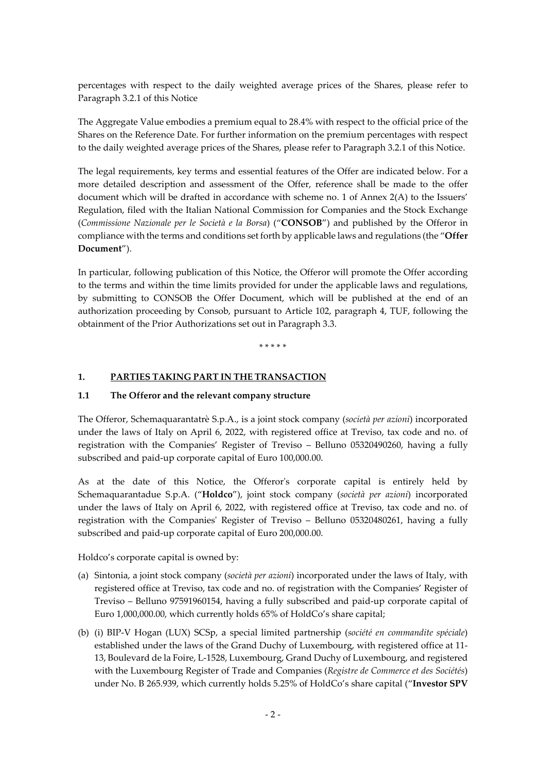percentages with respect to the daily weighted average prices of the Shares, please refer to Paragraph [3.2.1](#page-7-0) of this Notice

The Aggregate Value embodies a premium equal to 28.4% with respect to the official price of the Shares on the Reference Date. For further information on the premium percentages with respect to the daily weighted average prices of the Shares, please refer to Paragraph [3.2.1](#page-7-0) of this Notice.

The legal requirements, key terms and essential features of the Offer are indicated below. For a more detailed description and assessment of the Offer, reference shall be made to the offer document which will be drafted in accordance with scheme no. 1 of Annex 2(A) to the Issuers' Regulation, filed with the Italian National Commission for Companies and the Stock Exchange (*Commissione Nazionale per le Società e la Borsa*) ("**CONSOB**") and published by the Offeror in compliance with the terms and conditions set forth by applicable laws and regulations (the "**Offer Document**").

In particular, following publication of this Notice, the Offeror will promote the Offer according to the terms and within the time limits provided for under the applicable laws and regulations, by submitting to CONSOB the Offer Document, which will be published at the end of an authorization proceeding by Consob, pursuant to Article 102, paragraph 4, TUF, following the obtainment of the Prior Authorizations set out in Paragraph [3.3.](#page-9-0)

\* \* \* \* \*

#### **1. PARTIES TAKING PART IN THE TRANSACTION**

#### <span id="page-1-0"></span>**1.1 The Offeror and the relevant company structure**

The Offeror, Schemaquarantatrè S.p.A., is a joint stock company (*società per azioni*) incorporated under the laws of Italy on April 6, 2022, with registered office at Treviso, tax code and no. of registration with the Companies' Register of Treviso – Belluno 05320490260, having a fully subscribed and paid-up corporate capital of Euro 100,000.00.

As at the date of this Notice, the Offeror's corporate capital is entirely held by Schemaquarantadue S.p.A. ("**Holdco**"), joint stock company (*società per azioni*) incorporated under the laws of Italy on April 6, 2022, with registered office at Treviso, tax code and no. of registration with the Companies' Register of Treviso – Belluno 05320480261, having a fully subscribed and paid-up corporate capital of Euro 200,000.00.

Holdco's corporate capital is owned by:

- (a) Sintonia, a joint stock company (*società per azioni*) incorporated under the laws of Italy, with registered office at Treviso, tax code and no. of registration with the Companies' Register of Treviso – Belluno 97591960154, having a fully subscribed and paid-up corporate capital of Euro 1,000,000.00, which currently holds 65% of HoldCo's share capital;
- (b) (i) BIP-V Hogan (LUX) SCSp, a special limited partnership (*société en commandite spéciale*) established under the laws of the Grand Duchy of Luxembourg, with registered office at 11- 13, Boulevard de la Foire, L-1528, Luxembourg, Grand Duchy of Luxembourg, and registered with the Luxembourg Register of Trade and Companies (*Registre de Commerce et des Sociétés*) under No. B 265.939, which currently holds 5.25% of HoldCo's share capital ("**Investor SPV**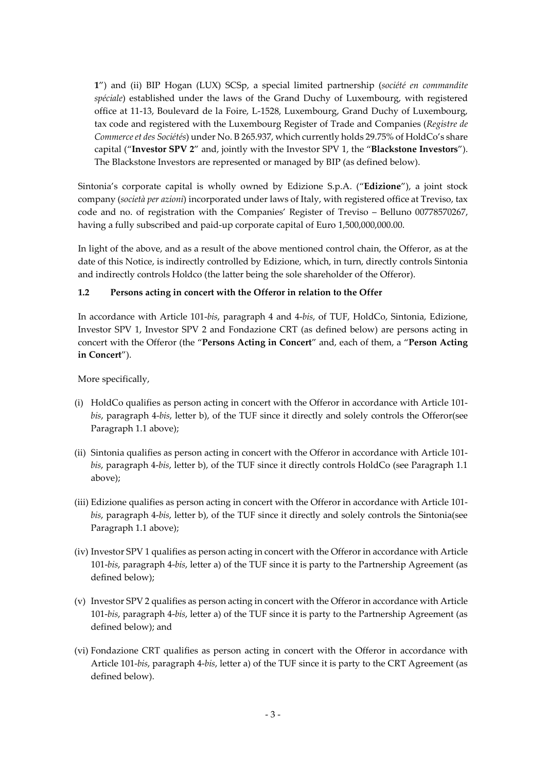**1**") and (ii) BIP Hogan (LUX) SCSp, a special limited partnership (*société en commandite spéciale*) established under the laws of the Grand Duchy of Luxembourg, with registered office at 11-13, Boulevard de la Foire, L-1528, Luxembourg, Grand Duchy of Luxembourg, tax code and registered with the Luxembourg Register of Trade and Companies (*Registre de Commerce et des Sociétés*) under No. B 265.937, which currently holds 29.75% of HoldCo's share capital ("**Investor SPV 2**" and, jointly with the Investor SPV 1, the "**Blackstone Investors**"). The Blackstone Investors are represented or managed by BIP (as defined below).

Sintonia's corporate capital is wholly owned by Edizione S.p.A. ("**Edizione**"), a joint stock company (*società per azioni*) incorporated under laws of Italy, with registered office at Treviso, tax code and no. of registration with the Companies' Register of Treviso – Belluno 00778570267, having a fully subscribed and paid-up corporate capital of Euro 1,500,000,000.00.

In light of the above, and as a result of the above mentioned control chain, the Offeror, as at the date of this Notice, is indirectly controlled by Edizione, which, in turn, directly controls Sintonia and indirectly controls Holdco (the latter being the sole shareholder of the Offeror).

#### **1.2 Persons acting in concert with the Offeror in relation to the Offer**

In accordance with Article 101-*bis*, paragraph 4 and 4-*bis*, of TUF, HoldCo, Sintonia, Edizione, Investor SPV 1, Investor SPV 2 and Fondazione CRT (as defined below) are persons acting in concert with the Offeror (the "**Persons Acting in Concert**" and, each of them, a "**Person Acting in Concert**").

More specifically,

- (i) HoldCo qualifies as person acting in concert with the Offeror in accordance with Article 101 *bis*, paragraph 4-*bis*, letter b), of the TUF since it directly and solely controls the Offeror(see Paragraph [1.1](#page-1-0) above);
- (ii) Sintonia qualifies as person acting in concert with the Offeror in accordance with Article 101 *bis*, paragraph 4-*bis*, letter b), of the TUF since it directly controls HoldCo (see Paragraph [1.1](#page-1-0) above);
- (iii) Edizione qualifies as person acting in concert with the Offeror in accordance with Article 101 *bis*, paragraph 4-*bis*, letter b), of the TUF since it directly and solely controls the Sintonia(see Paragraph [1.1](#page-1-0) above);
- (iv) Investor SPV 1 qualifies as person acting in concert with the Offeror in accordance with Article 101-*bis*, paragraph 4-*bis*, letter a) of the TUF since it is party to the Partnership Agreement (as defined below);
- (v) Investor SPV 2 qualifies as person acting in concert with the Offeror in accordance with Article 101-*bis*, paragraph 4-*bis*, letter a) of the TUF since it is party to the Partnership Agreement (as defined below); and
- (vi) Fondazione CRT qualifies as person acting in concert with the Offeror in accordance with Article 101-*bis*, paragraph 4-*bis*, letter a) of the TUF since it is party to the CRT Agreement (as defined below).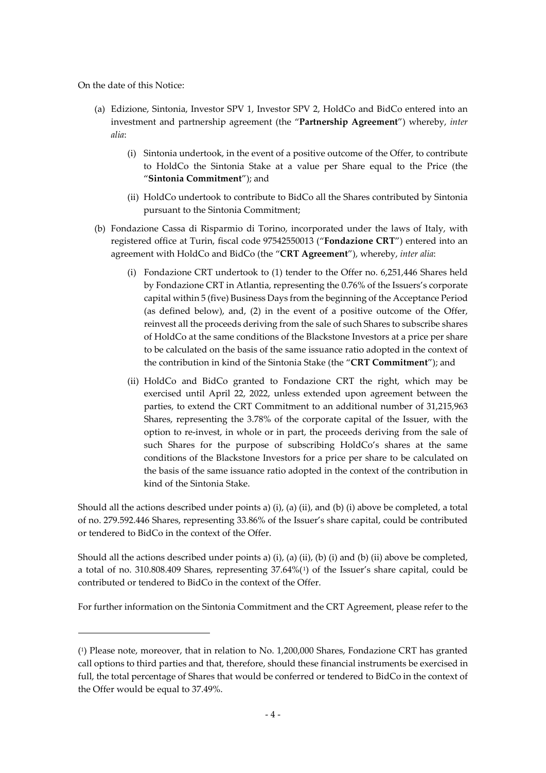On the date of this Notice:

-

- (a) Edizione, Sintonia, Investor SPV 1, Investor SPV 2, HoldCo and BidCo entered into an investment and partnership agreement (the "**Partnership Agreement**") whereby, *inter alia*:
	- (i) Sintonia undertook, in the event of a positive outcome of the Offer, to contribute to HoldCo the Sintonia Stake at a value per Share equal to the Price (the "**Sintonia Commitment**"); and
	- (ii) HoldCo undertook to contribute to BidCo all the Shares contributed by Sintonia pursuant to the Sintonia Commitment;
- (b) Fondazione Cassa di Risparmio di Torino, incorporated under the laws of Italy, with registered office at Turin, fiscal code 97542550013 ("**Fondazione CRT**") entered into an agreement with HoldCo and BidCo (the "**CRT Agreement**"), whereby, *inter alia*:
	- (i) Fondazione CRT undertook to (1) tender to the Offer no. 6,251,446 Shares held by Fondazione CRT in Atlantia, representing the 0.76% of the Issuers's corporate capital within 5 (five) Business Days from the beginning of the Acceptance Period (as defined below), and, (2) in the event of a positive outcome of the Offer, reinvest all the proceeds deriving from the sale of such Shares to subscribe shares of HoldCo at the same conditions of the Blackstone Investors at a price per share to be calculated on the basis of the same issuance ratio adopted in the context of the contribution in kind of the Sintonia Stake (the "**CRT Commitment**"); and
	- (ii) HoldCo and BidCo granted to Fondazione CRT the right, which may be exercised until April 22, 2022, unless extended upon agreement between the parties, to extend the CRT Commitment to an additional number of 31,215,963 Shares, representing the 3.78% of the corporate capital of the Issuer, with the option to re-invest, in whole or in part, the proceeds deriving from the sale of such Shares for the purpose of subscribing HoldCo's shares at the same conditions of the Blackstone Investors for a price per share to be calculated on the basis of the same issuance ratio adopted in the context of the contribution in kind of the Sintonia Stake.

Should all the actions described under points a) (i), (a) (ii), and (b) (i) above be completed, a total of no. 279.592.446 Shares, representing 33.86% of the Issuer's share capital, could be contributed or tendered to BidCo in the context of the Offer.

Should all the actions described under points a) (i), (a) (ii), (b) (i) and (b) (ii) above be completed, a total of no. 310.808.409 Shares, representing 37.64%([1\)](#page-3-0) of the Issuer's share capital, could be contributed or tendered to BidCo in the context of the Offer.

For further information on the Sintonia Commitment and the CRT Agreement, please refer to the

<span id="page-3-0"></span><sup>(1)</sup> Please note, moreover, that in relation to No. 1,200,000 Shares, Fondazione CRT has granted call options to third parties and that, therefore, should these financial instruments be exercised in full, the total percentage of Shares that would be conferred or tendered to BidCo in the context of the Offer would be equal to 37.49%.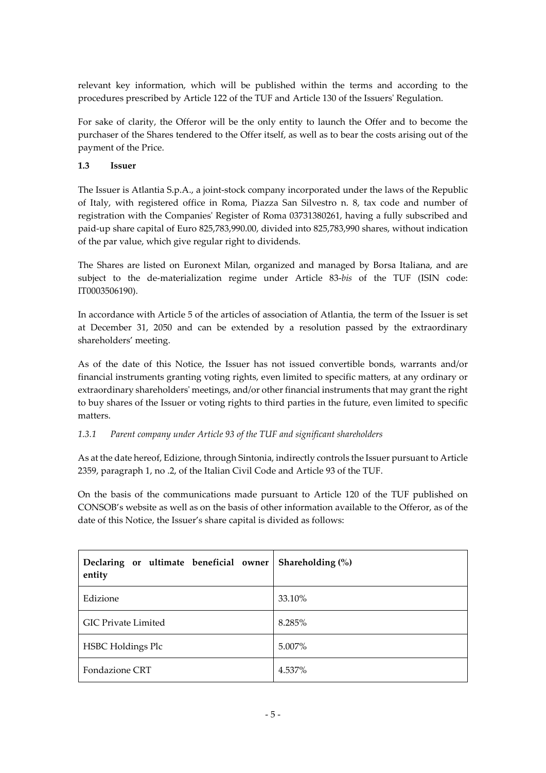relevant key information, which will be published within the terms and according to the procedures prescribed by Article 122 of the TUF and Article 130 of the Issuers' Regulation.

For sake of clarity, the Offeror will be the only entity to launch the Offer and to become the purchaser of the Shares tendered to the Offer itself, as well as to bear the costs arising out of the payment of the Price.

### **1.3 Issuer**

The Issuer is Atlantia S.p.A., a joint-stock company incorporated under the laws of the Republic of Italy, with registered office in Roma, Piazza San Silvestro n. 8, tax code and number of registration with the Companies' Register of Roma 03731380261, having a fully subscribed and paid-up share capital of Euro 825,783,990.00, divided into 825,783,990 shares, without indication of the par value, which give regular right to dividends.

The Shares are listed on Euronext Milan, organized and managed by Borsa Italiana, and are subject to the de-materialization regime under Article 83-*bis* of the TUF (ISIN code: IT0003506190).

In accordance with Article 5 of the articles of association of Atlantia, the term of the Issuer is set at December 31, 2050 and can be extended by a resolution passed by the extraordinary shareholders' meeting.

As of the date of this Notice, the Issuer has not issued convertible bonds, warrants and/or financial instruments granting voting rights, even limited to specific matters, at any ordinary or extraordinary shareholders' meetings, and/or other financial instruments that may grant the right to buy shares of the Issuer or voting rights to third parties in the future, even limited to specific matters.

### *1.3.1 Parent company under Article 93 of the TUF and significant shareholders*

As at the date hereof, Edizione, through Sintonia, indirectly controls the Issuer pursuant to Article 2359, paragraph 1, no .2, of the Italian Civil Code and Article 93 of the TUF.

On the basis of the communications made pursuant to Article 120 of the TUF published on CONSOB's website as well as on the basis of other information available to the Offeror, as of the date of this Notice, the Issuer's share capital is divided as follows:

| Declaring or ultimate beneficial owner<br>entity | Shareholding $(\%)$ |  |
|--------------------------------------------------|---------------------|--|
| Edizione                                         | 33.10%              |  |
| <b>GIC Private Limited</b>                       | 8.285%              |  |
| <b>HSBC</b> Holdings Plc                         | 5.007%              |  |
| Fondazione CRT                                   | 4.537%              |  |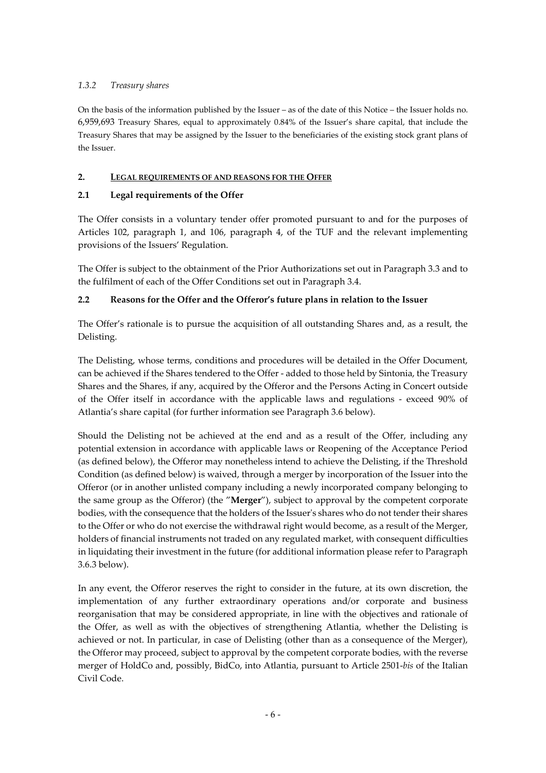## *1.3.2 Treasury shares*

On the basis of the information published by the Issuer – as of the date of this Notice – the Issuer holds no. 6,959,693 Treasury Shares, equal to approximately 0.84% of the Issuer's share capital, that include the Treasury Shares that may be assigned by the Issuer to the beneficiaries of the existing stock grant plans of the Issuer.

#### **2. LEGAL REQUIREMENTS OF AND REASONS FOR THE OFFER**

### **2.1 Legal requirements of the Offer**

The Offer consists in a voluntary tender offer promoted pursuant to and for the purposes of Articles 102, paragraph 1, and 106, paragraph 4, of the TUF and the relevant implementing provisions of the Issuers' Regulation.

The Offer is subject to the obtainment of the Prior Authorizations set out in Paragraph [3.3](#page-9-0) and to the fulfilment of each of the Offer Conditions set out in Paragraph [3.4.](#page-9-1)

# <span id="page-5-0"></span>**2.2 Reasons for the Offer and the Offeror's future plans in relation to the Issuer**

The Offer's rationale is to pursue the acquisition of all outstanding Shares and, as a result, the Delisting.

The Delisting, whose terms, conditions and procedures will be detailed in the Offer Document, can be achieved if the Shares tendered to the Offer - added to those held by Sintonia, the Treasury Shares and the Shares, if any, acquired by the Offeror and the Persons Acting in Concert outside of the Offer itself in accordance with the applicable laws and regulations - exceed 90% of Atlantia's share capital (for further information see Paragraph [3.6](#page-11-0) below).

Should the Delisting not be achieved at the end and as a result of the Offer, including any potential extension in accordance with applicable laws or Reopening of the Acceptance Period (as defined below), the Offeror may nonetheless intend to achieve the Delisting, if the Threshold Condition (as defined below) is waived, through a merger by incorporation of the Issuer into the Offeror (or in another unlisted company including a newly incorporated company belonging to the same group as the Offeror) (the "**Merger**"), subject to approval by the competent corporate bodies, with the consequence that the holders of the Issuer's shares who do not tender their shares to the Offer or who do not exercise the withdrawal right would become, as a result of the Merger, holders of financial instruments not traded on any regulated market, with consequent difficulties in liquidating their investment in the future (for additional information please refer to Paragraph [3.6.3](#page-13-0) below).

In any event, the Offeror reserves the right to consider in the future, at its own discretion, the implementation of any further extraordinary operations and/or corporate and business reorganisation that may be considered appropriate, in line with the objectives and rationale of the Offer, as well as with the objectives of strengthening Atlantia, whether the Delisting is achieved or not. In particular, in case of Delisting (other than as a consequence of the Merger), the Offeror may proceed, subject to approval by the competent corporate bodies, with the reverse merger of HoldCo and, possibly, BidCo, into Atlantia, pursuant to Article 2501-*bis* of the Italian Civil Code.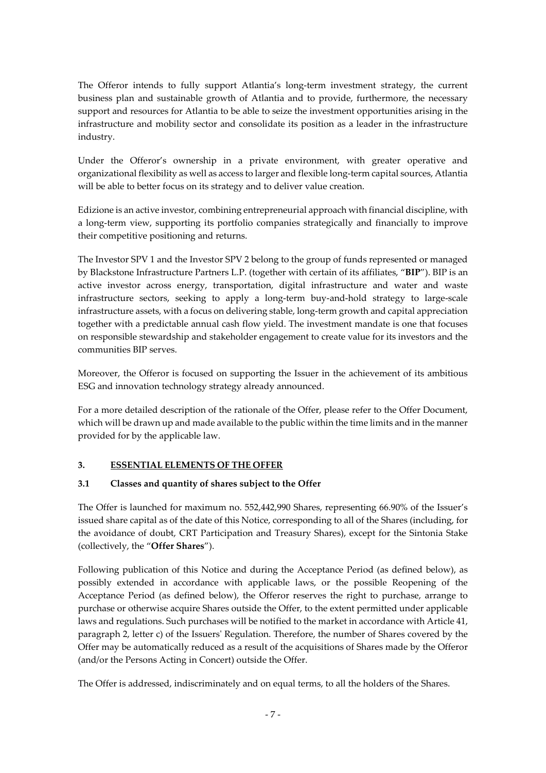The Offeror intends to fully support Atlantia's long-term investment strategy, the current business plan and sustainable growth of Atlantia and to provide, furthermore, the necessary support and resources for Atlantia to be able to seize the investment opportunities arising in the infrastructure and mobility sector and consolidate its position as a leader in the infrastructure industry.

Under the Offeror's ownership in a private environment, with greater operative and organizational flexibility as well as access to larger and flexible long-term capital sources, Atlantia will be able to better focus on its strategy and to deliver value creation.

Edizione is an active investor, combining entrepreneurial approach with financial discipline, with a long-term view, supporting its portfolio companies strategically and financially to improve their competitive positioning and returns.

The Investor SPV 1 and the Investor SPV 2 belong to the group of funds represented or managed by Blackstone Infrastructure Partners L.P. (together with certain of its affiliates, "**BIP**"). BIP is an active investor across energy, transportation, digital infrastructure and water and waste infrastructure sectors, seeking to apply a long-term buy-and-hold strategy to large-scale infrastructure assets, with a focus on delivering stable, long-term growth and capital appreciation together with a predictable annual cash flow yield. The investment mandate is one that focuses on responsible stewardship and stakeholder engagement to create value for its investors and the communities BIP serves.

Moreover, the Offeror is focused on supporting the Issuer in the achievement of its ambitious ESG and innovation technology strategy already announced.

For a more detailed description of the rationale of the Offer, please refer to the Offer Document, which will be drawn up and made available to the public within the time limits and in the manner provided for by the applicable law.

### **3. ESSENTIAL ELEMENTS OF THE OFFER**

### **3.1 Classes and quantity of shares subject to the Offer**

The Offer is launched for maximum no. 552,442,990 Shares, representing 66.90% of the Issuer's issued share capital as of the date of this Notice, corresponding to all of the Shares (including, for the avoidance of doubt, CRT Participation and Treasury Shares), except for the Sintonia Stake (collectively, the "**Offer Shares**").

Following publication of this Notice and during the Acceptance Period (as defined below), as possibly extended in accordance with applicable laws, or the possible Reopening of the Acceptance Period (as defined below), the Offeror reserves the right to purchase, arrange to purchase or otherwise acquire Shares outside the Offer, to the extent permitted under applicable laws and regulations. Such purchases will be notified to the market in accordance with Article 41, paragraph 2, letter c) of the Issuers' Regulation. Therefore, the number of Shares covered by the Offer may be automatically reduced as a result of the acquisitions of Shares made by the Offeror (and/or the Persons Acting in Concert) outside the Offer.

The Offer is addressed, indiscriminately and on equal terms, to all the holders of the Shares.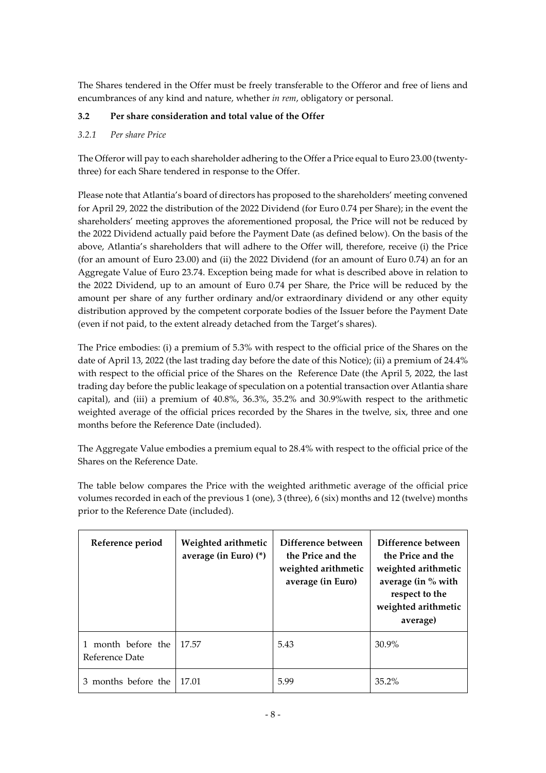The Shares tendered in the Offer must be freely transferable to the Offeror and free of liens and encumbrances of any kind and nature, whether *in rem*, obligatory or personal.

# **3.2 Per share consideration and total value of the Offer**

### <span id="page-7-0"></span>*3.2.1 Per share Price*

The Offeror will pay to each shareholder adhering to the Offer a Price equal to Euro 23.00 (twentythree) for each Share tendered in response to the Offer.

Please note that Atlantia's board of directors has proposed to the shareholders' meeting convened for April 29, 2022 the distribution of the 2022 Dividend (for Euro 0.74 per Share); in the event the shareholders' meeting approves the aforementioned proposal, the Price will not be reduced by the 2022 Dividend actually paid before the Payment Date (as defined below). On the basis of the above, Atlantia's shareholders that will adhere to the Offer will, therefore, receive (i) the Price (for an amount of Euro 23.00) and (ii) the 2022 Dividend (for an amount of Euro 0.74) an for an Aggregate Value of Euro 23.74. Exception being made for what is described above in relation to the 2022 Dividend, up to an amount of Euro 0.74 per Share, the Price will be reduced by the amount per share of any further ordinary and/or extraordinary dividend or any other equity distribution approved by the competent corporate bodies of the Issuer before the Payment Date (even if not paid, to the extent already detached from the Target's shares).

The Price embodies: (i) a premium of 5.3% with respect to the official price of the Shares on the date of April 13, 2022 (the last trading day before the date of this Notice); (ii) a premium of 24.4% with respect to the official price of the Shares on the Reference Date (the April 5, 2022, the last trading day before the public leakage of speculation on a potential transaction over Atlantia share capital), and (iii) a premium of 40.8%, 36.3%, 35.2% and 30.9%with respect to the arithmetic weighted average of the official prices recorded by the Shares in the twelve, six, three and one months before the Reference Date (included).

The Aggregate Value embodies a premium equal to 28.4% with respect to the official price of the Shares on the Reference Date.

The table below compares the Price with the weighted arithmetic average of the official price volumes recorded in each of the previous 1 (one), 3 (three), 6 (six) months and 12 (twelve) months prior to the Reference Date (included).

| Reference period                     | Weighted arithmetic<br>average (in Euro) (*) | Difference between<br>the Price and the<br>weighted arithmetic<br>average (in Euro) | Difference between<br>the Price and the<br>weighted arithmetic<br>average (in $%$ with<br>respect to the<br>weighted arithmetic<br>average) |
|--------------------------------------|----------------------------------------------|-------------------------------------------------------------------------------------|---------------------------------------------------------------------------------------------------------------------------------------------|
| 1 month before the<br>Reference Date | 17.57                                        | 5.43                                                                                | $30.9\%$                                                                                                                                    |
| 3 months before the                  | 17.01                                        | 5.99                                                                                | $35.2\%$                                                                                                                                    |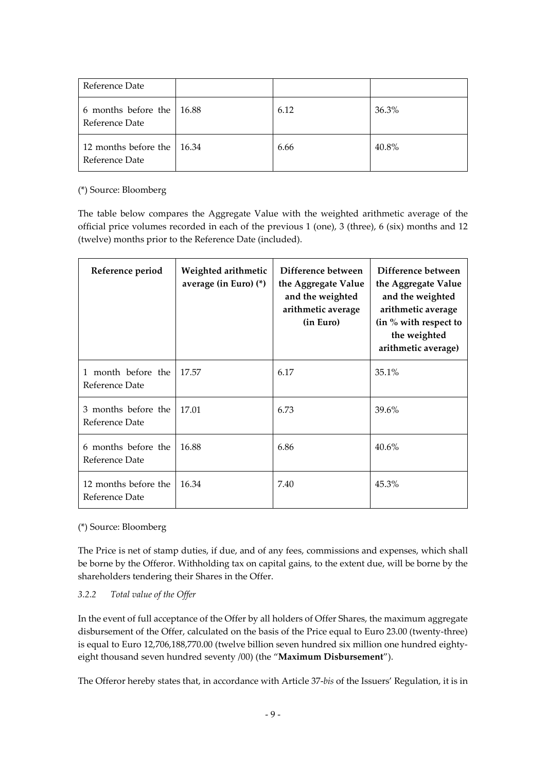| Reference Date                               |      |       |
|----------------------------------------------|------|-------|
| 6 months before the 16.88<br>Reference Date  | 6.12 | 36.3% |
| 12 months before the 16.34<br>Reference Date | 6.66 | 40.8% |

#### (\*) Source: Bloomberg

The table below compares the Aggregate Value with the weighted arithmetic average of the official price volumes recorded in each of the previous 1 (one), 3 (three), 6 (six) months and 12 (twelve) months prior to the Reference Date (included).

| Reference period                       | Weighted arithmetic<br>average (in Euro) (*) | Difference between<br>the Aggregate Value<br>and the weighted<br>arithmetic average<br>(in Euro) | Difference between<br>the Aggregate Value<br>and the weighted<br>arithmetic average<br>(in % with respect to<br>the weighted<br>arithmetic average) |
|----------------------------------------|----------------------------------------------|--------------------------------------------------------------------------------------------------|-----------------------------------------------------------------------------------------------------------------------------------------------------|
| 1 month before the<br>Reference Date   | 17.57                                        | 6.17                                                                                             | 35.1%                                                                                                                                               |
| 3 months before the<br>Reference Date  | 17.01                                        | 6.73                                                                                             | 39.6%                                                                                                                                               |
| 6 months before the<br>Reference Date  | 16.88                                        | 6.86                                                                                             | 40.6%                                                                                                                                               |
| 12 months before the<br>Reference Date | 16.34                                        | 7.40                                                                                             | 45.3%                                                                                                                                               |

### (\*) Source: Bloomberg

The Price is net of stamp duties, if due, and of any fees, commissions and expenses, which shall be borne by the Offeror. Withholding tax on capital gains, to the extent due, will be borne by the shareholders tendering their Shares in the Offer.

### *3.2.2 Total value of the Offer*

In the event of full acceptance of the Offer by all holders of Offer Shares, the maximum aggregate disbursement of the Offer, calculated on the basis of the Price equal to Euro 23.00 (twenty-three) is equal to Euro 12,706,188,770.00 (twelve billion seven hundred six million one hundred eightyeight thousand seven hundred seventy /00) (the "**Maximum Disbursement**").

The Offeror hereby states that, in accordance with Article 37-*bis* of the Issuers' Regulation, it is in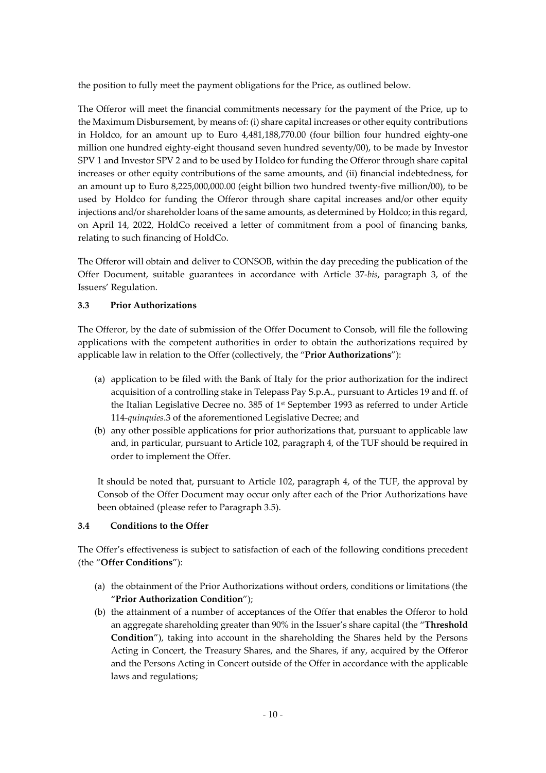the position to fully meet the payment obligations for the Price, as outlined below.

The Offeror will meet the financial commitments necessary for the payment of the Price, up to the Maximum Disbursement, by means of: (i) share capital increases or other equity contributions in Holdco, for an amount up to Euro 4,481,188,770.00 (four billion four hundred eighty-one million one hundred eighty-eight thousand seven hundred seventy/00), to be made by Investor SPV 1 and Investor SPV 2 and to be used by Holdco for funding the Offeror through share capital increases or other equity contributions of the same amounts, and (ii) financial indebtedness, for an amount up to Euro 8,225,000,000.00 (eight billion two hundred twenty-five million/00), to be used by Holdco for funding the Offeror through share capital increases and/or other equity injections and/or shareholder loans of the same amounts, as determined by Holdco; in this regard, on April 14, 2022, HoldCo received a letter of commitment from a pool of financing banks, relating to such financing of HoldCo.

The Offeror will obtain and deliver to CONSOB, within the day preceding the publication of the Offer Document, suitable guarantees in accordance with Article 37-*bis*, paragraph 3, of the Issuers' Regulation.

#### <span id="page-9-0"></span>**3.3 Prior Authorizations**

The Offeror, by the date of submission of the Offer Document to Consob, will file the following applications with the competent authorities in order to obtain the authorizations required by applicable law in relation to the Offer (collectively, the "**Prior Authorizations**"):

- (a) application to be filed with the Bank of Italy for the prior authorization for the indirect acquisition of a controlling stake in Telepass Pay S.p.A., pursuant to Articles 19 and ff. of the Italian Legislative Decree no. 385 of  $1st$  September 1993 as referred to under Article 114-*quinquies*.3 of the aforementioned Legislative Decree; and
- (b) any other possible applications for prior authorizations that, pursuant to applicable law and, in particular, pursuant to Article 102, paragraph 4, of the TUF should be required in order to implement the Offer.

It should be noted that, pursuant to Article 102, paragraph 4, of the TUF, the approval by Consob of the Offer Document may occur only after each of the Prior Authorizations have been obtained (please refer to Paragraph 3.5).

#### <span id="page-9-1"></span>**3.4 Conditions to the Offer**

The Offer's effectiveness is subject to satisfaction of each of the following conditions precedent (the "**Offer Conditions**"):

- <span id="page-9-2"></span>(a) the obtainment of the Prior Authorizations without orders, conditions or limitations (the "**Prior Authorization Condition**");
- (b) the attainment of a number of acceptances of the Offer that enables the Offeror to hold an aggregate shareholding greater than 90% in the Issuer's share capital (the "**Threshold Condition**"), taking into account in the shareholding the Shares held by the Persons Acting in Concert, the Treasury Shares, and the Shares, if any, acquired by the Offeror and the Persons Acting in Concert outside of the Offer in accordance with the applicable laws and regulations;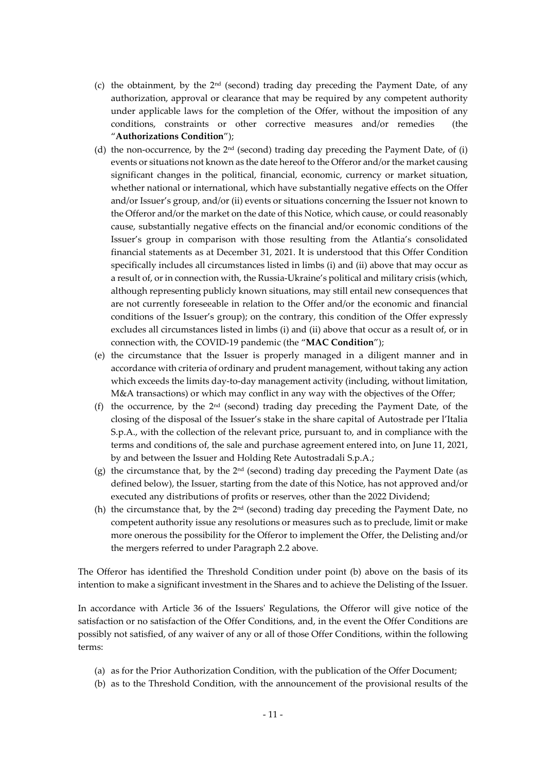- (c) the obtainment, by the 2nd (second) trading day preceding the Payment Date, of any authorization, approval or clearance that may be required by any competent authority under applicable laws for the completion of the Offer, without the imposition of any conditions, constraints or other corrective measures and/or remedies (the "**Authorizations Condition**");
- (d) the non-occurrence, by the  $2<sup>nd</sup>$  (second) trading day preceding the Payment Date, of (i) events or situations not known as the date hereof to the Offeror and/or the market causing significant changes in the political, financial, economic, currency or market situation, whether national or international, which have substantially negative effects on the Offer and/or Issuer's group, and/or (ii) events or situations concerning the Issuer not known to the Offeror and/or the market on the date of this Notice, which cause, or could reasonably cause, substantially negative effects on the financial and/or economic conditions of the Issuer's group in comparison with those resulting from the Atlantia's consolidated financial statements as at December 31, 2021. It is understood that this Offer Condition specifically includes all circumstances listed in limbs (i) and (ii) above that may occur as a result of, or in connection with, the Russia-Ukraine's political and military crisis (which, although representing publicly known situations, may still entail new consequences that are not currently foreseeable in relation to the Offer and/or the economic and financial conditions of the Issuer's group); on the contrary, this condition of the Offer expressly excludes all circumstances listed in limbs (i) and (ii) above that occur as a result of, or in connection with, the COVID-19 pandemic (the "**MAC Condition**");
- (e) the circumstance that the Issuer is properly managed in a diligent manner and in accordance with criteria of ordinary and prudent management, without taking any action which exceeds the limits day-to-day management activity (including, without limitation, M&A transactions) or which may conflict in any way with the objectives of the Offer;
- (f) the occurrence, by the  $2<sup>nd</sup>$  (second) trading day preceding the Payment Date, of the closing of the disposal of the Issuer's stake in the share capital of Autostrade per l'Italia S.p.A., with the collection of the relevant price, pursuant to, and in compliance with the terms and conditions of, the sale and purchase agreement entered into, on June 11, 2021, by and between the Issuer and Holding Rete Autostradali S.p.A.;
- (g) the circumstance that, by the  $2<sup>nd</sup>$  (second) trading day preceding the Payment Date (as defined below), the Issuer, starting from the date of this Notice, has not approved and/or executed any distributions of profits or reserves, other than the 2022 Dividend;
- (h) the circumstance that, by the  $2<sup>nd</sup>$  (second) trading day preceding the Payment Date, no competent authority issue any resolutions or measures such as to preclude, limit or make more onerous the possibility for the Offeror to implement the Offer, the Delisting and/or the mergers referred to under Paragraph [2.2](#page-5-0) above.

The Offeror has identified the Threshold Condition under point [\(b\)](#page-9-2) above on the basis of its intention to make a significant investment in the Shares and to achieve the Delisting of the Issuer.

In accordance with Article 36 of the Issuers' Regulations, the Offeror will give notice of the satisfaction or no satisfaction of the Offer Conditions, and, in the event the Offer Conditions are possibly not satisfied, of any waiver of any or all of those Offer Conditions, within the following terms:

- (a) as for the Prior Authorization Condition, with the publication of the Offer Document;
- (b) as to the Threshold Condition, with the announcement of the provisional results of the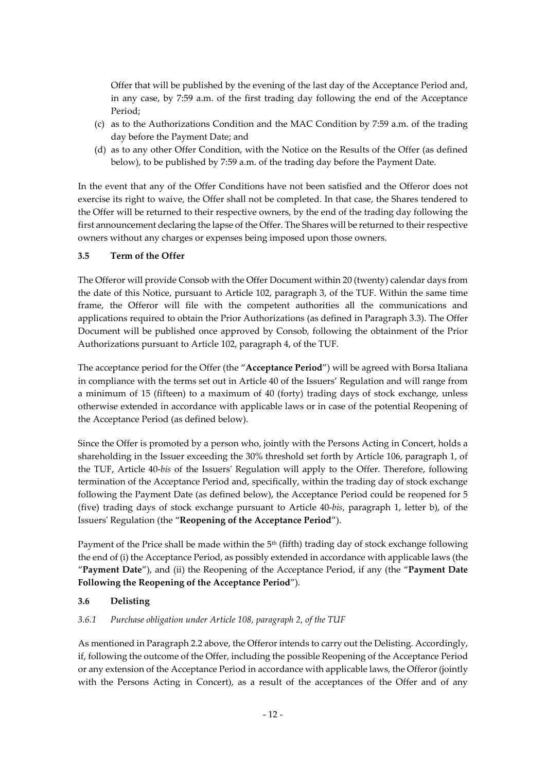Offer that will be published by the evening of the last day of the Acceptance Period and, in any case, by 7:59 a.m. of the first trading day following the end of the Acceptance Period;

- (c) as to the Authorizations Condition and the MAC Condition by 7:59 a.m. of the trading day before the Payment Date; and
- (d) as to any other Offer Condition, with the Notice on the Results of the Offer (as defined below), to be published by 7:59 a.m. of the trading day before the Payment Date.

In the event that any of the Offer Conditions have not been satisfied and the Offeror does not exercise its right to waive, the Offer shall not be completed. In that case, the Shares tendered to the Offer will be returned to their respective owners, by the end of the trading day following the first announcement declaring the lapse of the Offer. The Shares will be returned to their respective owners without any charges or expenses being imposed upon those owners.

#### **3.5 Term of the Offer**

The Offeror will provide Consob with the Offer Document within 20 (twenty) calendar days from the date of this Notice, pursuant to Article 102, paragraph 3, of the TUF. Within the same time frame, the Offeror will file with the competent authorities all the communications and applications required to obtain the Prior Authorizations (as defined in Paragraph [3.3\)](#page-9-0). The Offer Document will be published once approved by Consob, following the obtainment of the Prior Authorizations pursuant to Article 102, paragraph 4, of the TUF.

The acceptance period for the Offer (the "**Acceptance Period**") will be agreed with Borsa Italiana in compliance with the terms set out in Article 40 of the Issuers' Regulation and will range from a minimum of 15 (fifteen) to a maximum of 40 (forty) trading days of stock exchange, unless otherwise extended in accordance with applicable laws or in case of the potential Reopening of the Acceptance Period (as defined below).

Since the Offer is promoted by a person who, jointly with the Persons Acting in Concert, holds a shareholding in the Issuer exceeding the 30% threshold set forth by Article 106, paragraph 1, of the TUF, Article 40-*bis* of the Issuers' Regulation will apply to the Offer. Therefore, following termination of the Acceptance Period and, specifically, within the trading day of stock exchange following the Payment Date (as defined below), the Acceptance Period could be reopened for 5 (five) trading days of stock exchange pursuant to Article 40-*bis*, paragraph 1, letter b), of the Issuers' Regulation (the "**Reopening of the Acceptance Period**").

Payment of the Price shall be made within the 5<sup>th</sup> (fifth) trading day of stock exchange following the end of (i) the Acceptance Period, as possibly extended in accordance with applicable laws (the "**Payment Date**"), and (ii) the Reopening of the Acceptance Period, if any (the "**Payment Date Following the Reopening of the Acceptance Period**").

### <span id="page-11-0"></span>**3.6 Delisting**

### *3.6.1 Purchase obligation under Article 108, paragraph 2, of the TUF*

As mentioned in Paragrap[h 2.2](#page-5-0) above, the Offeror intends to carry out the Delisting. Accordingly, if, following the outcome of the Offer, including the possible Reopening of the Acceptance Period or any extension of the Acceptance Period in accordance with applicable laws, the Offeror (jointly with the Persons Acting in Concert), as a result of the acceptances of the Offer and of any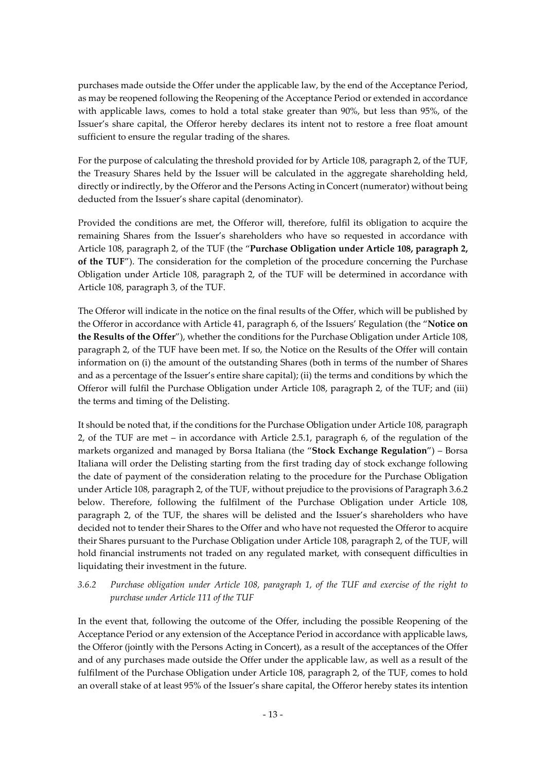purchases made outside the Offer under the applicable law, by the end of the Acceptance Period, as may be reopened following the Reopening of the Acceptance Period or extended in accordance with applicable laws, comes to hold a total stake greater than 90%, but less than 95%, of the Issuer's share capital, the Offeror hereby declares its intent not to restore a free float amount sufficient to ensure the regular trading of the shares.

For the purpose of calculating the threshold provided for by Article 108, paragraph 2, of the TUF, the Treasury Shares held by the Issuer will be calculated in the aggregate shareholding held, directly or indirectly, by the Offeror and the Persons Acting in Concert (numerator) without being deducted from the Issuer's share capital (denominator).

Provided the conditions are met, the Offeror will, therefore, fulfil its obligation to acquire the remaining Shares from the Issuer's shareholders who have so requested in accordance with Article 108, paragraph 2, of the TUF (the "**Purchase Obligation under Article 108, paragraph 2, of the TUF**"). The consideration for the completion of the procedure concerning the Purchase Obligation under Article 108, paragraph 2, of the TUF will be determined in accordance with Article 108, paragraph 3, of the TUF.

The Offeror will indicate in the notice on the final results of the Offer, which will be published by the Offeror in accordance with Article 41, paragraph 6, of the Issuers' Regulation (the "**Notice on the Results of the Offer**"), whether the conditions for the Purchase Obligation under Article 108, paragraph 2, of the TUF have been met. If so, the Notice on the Results of the Offer will contain information on (i) the amount of the outstanding Shares (both in terms of the number of Shares and as a percentage of the Issuer's entire share capital); (ii) the terms and conditions by which the Offeror will fulfil the Purchase Obligation under Article 108, paragraph 2, of the TUF; and (iii) the terms and timing of the Delisting.

It should be noted that, if the conditions for the Purchase Obligation under Article 108, paragraph 2, of the TUF are met – in accordance with Article 2.5.1, paragraph 6, of the regulation of the markets organized and managed by Borsa Italiana (the "**Stock Exchange Regulation**") – Borsa Italiana will order the Delisting starting from the first trading day of stock exchange following the date of payment of the consideration relating to the procedure for the Purchase Obligation under Article 108, paragraph 2, of the TUF, without prejudice to the provisions of Paragrap[h 3.6.2](#page-12-0) below. Therefore, following the fulfilment of the Purchase Obligation under Article 108, paragraph 2, of the TUF, the shares will be delisted and the Issuer's shareholders who have decided not to tender their Shares to the Offer and who have not requested the Offeror to acquire their Shares pursuant to the Purchase Obligation under Article 108, paragraph 2, of the TUF, will hold financial instruments not traded on any regulated market, with consequent difficulties in liquidating their investment in the future.

### <span id="page-12-0"></span>*3.6.2 Purchase obligation under Article 108, paragraph 1, of the TUF and exercise of the right to purchase under Article 111 of the TUF*

In the event that, following the outcome of the Offer, including the possible Reopening of the Acceptance Period or any extension of the Acceptance Period in accordance with applicable laws, the Offeror (jointly with the Persons Acting in Concert), as a result of the acceptances of the Offer and of any purchases made outside the Offer under the applicable law, as well as a result of the fulfilment of the Purchase Obligation under Article 108, paragraph 2, of the TUF, comes to hold an overall stake of at least 95% of the Issuer's share capital, the Offeror hereby states its intention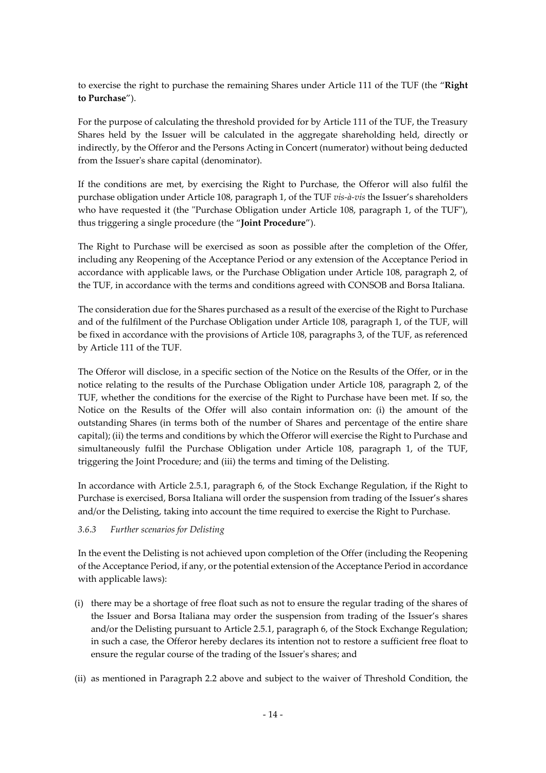to exercise the right to purchase the remaining Shares under Article 111 of the TUF (the "**Right to Purchase**").

For the purpose of calculating the threshold provided for by Article 111 of the TUF, the Treasury Shares held by the Issuer will be calculated in the aggregate shareholding held, directly or indirectly, by the Offeror and the Persons Acting in Concert (numerator) without being deducted from the Issuer's share capital (denominator).

If the conditions are met, by exercising the Right to Purchase, the Offeror will also fulfil the purchase obligation under Article 108, paragraph 1, of the TUF *vis-à-vis* the Issuer's shareholders who have requested it (the "Purchase Obligation under Article 108, paragraph 1, of the TUF"), thus triggering a single procedure (the "**Joint Procedure**").

The Right to Purchase will be exercised as soon as possible after the completion of the Offer, including any Reopening of the Acceptance Period or any extension of the Acceptance Period in accordance with applicable laws, or the Purchase Obligation under Article 108, paragraph 2, of the TUF, in accordance with the terms and conditions agreed with CONSOB and Borsa Italiana.

The consideration due for the Shares purchased as a result of the exercise of the Right to Purchase and of the fulfilment of the Purchase Obligation under Article 108, paragraph 1, of the TUF, will be fixed in accordance with the provisions of Article 108, paragraphs 3, of the TUF, as referenced by Article 111 of the TUF.

The Offeror will disclose, in a specific section of the Notice on the Results of the Offer, or in the notice relating to the results of the Purchase Obligation under Article 108, paragraph 2, of the TUF, whether the conditions for the exercise of the Right to Purchase have been met. If so, the Notice on the Results of the Offer will also contain information on: (i) the amount of the outstanding Shares (in terms both of the number of Shares and percentage of the entire share capital); (ii) the terms and conditions by which the Offeror will exercise the Right to Purchase and simultaneously fulfil the Purchase Obligation under Article 108, paragraph 1, of the TUF, triggering the Joint Procedure; and (iii) the terms and timing of the Delisting.

In accordance with Article 2.5.1, paragraph 6, of the Stock Exchange Regulation, if the Right to Purchase is exercised, Borsa Italiana will order the suspension from trading of the Issuer's shares and/or the Delisting, taking into account the time required to exercise the Right to Purchase.

### <span id="page-13-0"></span>*3.6.3 Further scenarios for Delisting*

In the event the Delisting is not achieved upon completion of the Offer (including the Reopening of the Acceptance Period, if any, or the potential extension of the Acceptance Period in accordance with applicable laws):

- (i) there may be a shortage of free float such as not to ensure the regular trading of the shares of the Issuer and Borsa Italiana may order the suspension from trading of the Issuer's shares and/or the Delisting pursuant to Article 2.5.1, paragraph 6, of the Stock Exchange Regulation; in such a case, the Offeror hereby declares its intention not to restore a sufficient free float to ensure the regular course of the trading of the Issuer's shares; and
- (ii) as mentioned in Paragraph 2.2 above and subject to the waiver of Threshold Condition, the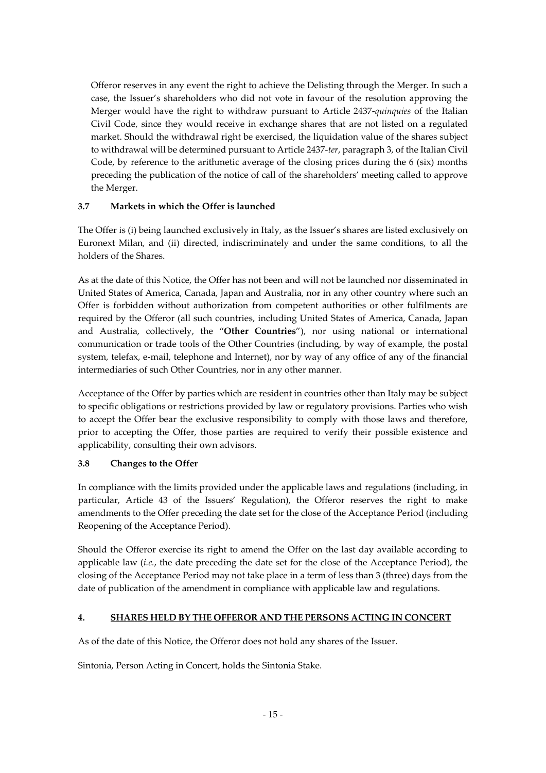Offeror reserves in any event the right to achieve the Delisting through the Merger. In such a case, the Issuer's shareholders who did not vote in favour of the resolution approving the Merger would have the right to withdraw pursuant to Article 2437-*quinquies* of the Italian Civil Code, since they would receive in exchange shares that are not listed on a regulated market. Should the withdrawal right be exercised, the liquidation value of the shares subject to withdrawal will be determined pursuant to Article 2437-*ter*, paragraph 3, of the Italian Civil Code, by reference to the arithmetic average of the closing prices during the 6 (six) months preceding the publication of the notice of call of the shareholders' meeting called to approve the Merger.

# **3.7 Markets in which the Offer is launched**

The Offer is (i) being launched exclusively in Italy, as the Issuer's shares are listed exclusively on Euronext Milan, and (ii) directed, indiscriminately and under the same conditions, to all the holders of the Shares.

As at the date of this Notice, the Offer has not been and will not be launched nor disseminated in United States of America, Canada, Japan and Australia, nor in any other country where such an Offer is forbidden without authorization from competent authorities or other fulfilments are required by the Offeror (all such countries, including United States of America, Canada, Japan and Australia, collectively, the "**Other Countries**"), nor using national or international communication or trade tools of the Other Countries (including, by way of example, the postal system, telefax, e-mail, telephone and Internet), nor by way of any office of any of the financial intermediaries of such Other Countries, nor in any other manner.

Acceptance of the Offer by parties which are resident in countries other than Italy may be subject to specific obligations or restrictions provided by law or regulatory provisions. Parties who wish to accept the Offer bear the exclusive responsibility to comply with those laws and therefore, prior to accepting the Offer, those parties are required to verify their possible existence and applicability, consulting their own advisors.

### **3.8 Changes to the Offer**

In compliance with the limits provided under the applicable laws and regulations (including, in particular, Article 43 of the Issuers' Regulation), the Offeror reserves the right to make amendments to the Offer preceding the date set for the close of the Acceptance Period (including Reopening of the Acceptance Period).

Should the Offeror exercise its right to amend the Offer on the last day available according to applicable law (*i.e.*, the date preceding the date set for the close of the Acceptance Period), the closing of the Acceptance Period may not take place in a term of less than 3 (three) days from the date of publication of the amendment in compliance with applicable law and regulations.

### **4. SHARES HELD BY THE OFFEROR AND THE PERSONS ACTING IN CONCERT**

As of the date of this Notice, the Offeror does not hold any shares of the Issuer.

Sintonia, Person Acting in Concert, holds the Sintonia Stake.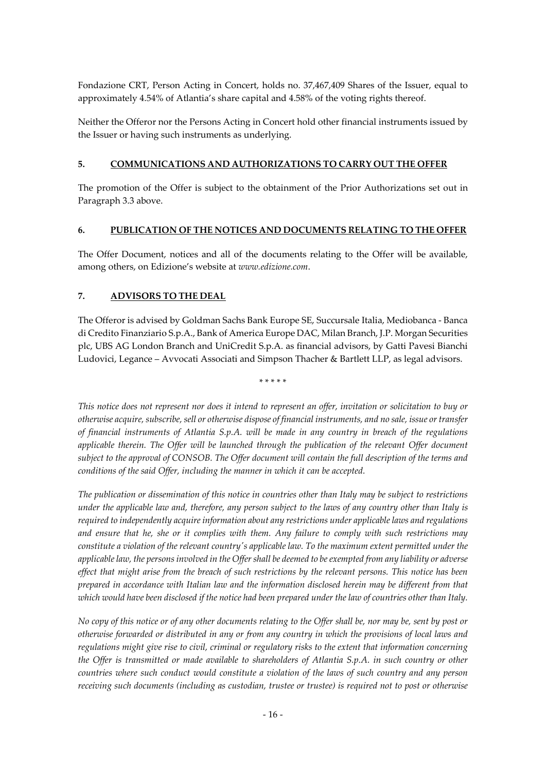Fondazione CRT, Person Acting in Concert, holds no. 37,467,409 Shares of the Issuer, equal to approximately 4.54% of Atlantia's share capital and 4.58% of the voting rights thereof.

Neither the Offeror nor the Persons Acting in Concert hold other financial instruments issued by the Issuer or having such instruments as underlying.

#### **5. COMMUNICATIONS AND AUTHORIZATIONS TO CARRY OUT THE OFFER**

The promotion of the Offer is subject to the obtainment of the Prior Authorizations set out in Paragraph [3.3](#page-9-0) above.

#### **6. PUBLICATION OF THE NOTICES AND DOCUMENTS RELATING TO THE OFFER**

The Offer Document, notices and all of the documents relating to the Offer will be available, among others, on Edizione's website at *www.edizione.com*.

### **7. ADVISORS TO THE DEAL**

The Offeror is advised by Goldman Sachs Bank Europe SE, Succursale Italia, Mediobanca - Banca di Credito Finanziario S.p.A., Bank of America Europe DAC, Milan Branch, J.P. Morgan Securities plc, UBS AG London Branch and UniCredit S.p.A. as financial advisors, by Gatti Pavesi Bianchi Ludovici, Legance – Avvocati Associati and Simpson Thacher & Bartlett LLP, as legal advisors.

\* \* \* \* \*

*This notice does not represent nor does it intend to represent an offer, invitation or solicitation to buy or otherwise acquire, subscribe, sell or otherwise dispose of financial instruments, and no sale, issue or transfer of financial instruments of Atlantia S.p.A. will be made in any country in breach of the regulations applicable therein. The Offer will be launched through the publication of the relevant Offer document subject to the approval of CONSOB. The Offer document will contain the full description of the terms and conditions of the said Offer, including the manner in which it can be accepted.*

*The publication or dissemination of this notice in countries other than Italy may be subject to restrictions under the applicable law and, therefore, any person subject to the laws of any country other than Italy is required to independently acquire information about any restrictions under applicable laws and regulations and ensure that he, she or it complies with them. Any failure to comply with such restrictions may constitute a violation of the relevant country's applicable law. To the maximum extent permitted under the applicable law, the persons involved in the Offer shall be deemed to be exempted from any liability or adverse effect that might arise from the breach of such restrictions by the relevant persons. This notice has been prepared in accordance with Italian law and the information disclosed herein may be different from that which would have been disclosed if the notice had been prepared under the law of countries other than Italy.*

*No copy of this notice or of any other documents relating to the Offer shall be, nor may be, sent by post or otherwise forwarded or distributed in any or from any country in which the provisions of local laws and regulations might give rise to civil, criminal or regulatory risks to the extent that information concerning the Offer is transmitted or made available to shareholders of Atlantia S.p.A. in such country or other countries where such conduct would constitute a violation of the laws of such country and any person receiving such documents (including as custodian, trustee or trustee) is required not to post or otherwise*